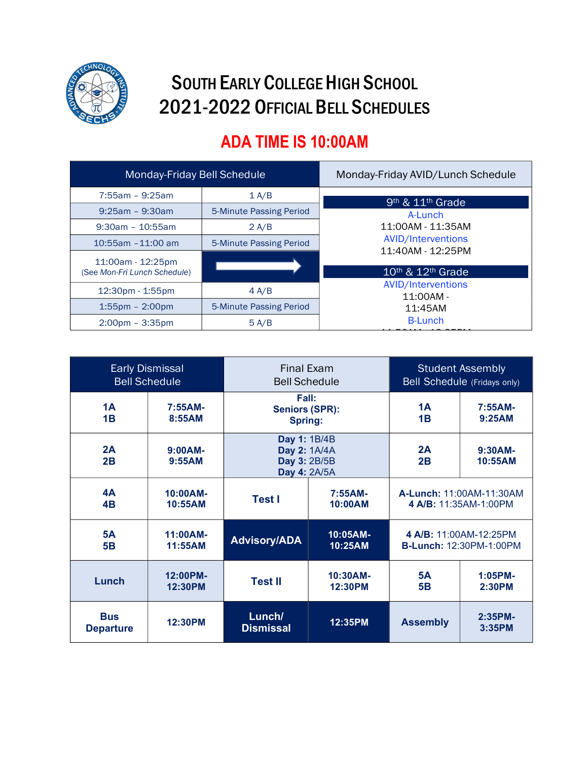

## SOUTH EARLY COLLEGE HIGH SCHOOL 2021-2022 OFFICIAL BELL SCHEDULES

## **ADA TIME IS 10:00AM**

| Monday-Friday Bell Schedule                       |                         | Monday-Friday AVID/Lunch Schedule                                                                                                                                                             |  |  |
|---------------------------------------------------|-------------------------|-----------------------------------------------------------------------------------------------------------------------------------------------------------------------------------------------|--|--|
| $7:55am - 9:25am$                                 | 1 A/B                   | 9 <sup>th</sup> & 11 <sup>th</sup> Grade                                                                                                                                                      |  |  |
| $9:25am - 9:30am$                                 | 5-Minute Passing Period | A-Lunch                                                                                                                                                                                       |  |  |
| $9:30$ am - 10:55am                               | 2 A/B                   | 11:00AM - 11:35AM<br><b>AVID/Interventions</b><br>11:40AM - 12:25PM<br>$10$ <sup>th</sup> & $12$ <sup>th</sup> Grade<br><b>AVID/Interventions</b><br>$11:00AM -$<br>11:45AM<br><b>B-Lunch</b> |  |  |
| $10:55$ am $-11:00$ am                            | 5-Minute Passing Period |                                                                                                                                                                                               |  |  |
| 11:00am - 12:25pm<br>(See Mon-Fri Lunch Schedule) |                         |                                                                                                                                                                                               |  |  |
| $12:30pm - 1:55pm$                                | 4 A/B                   |                                                                                                                                                                                               |  |  |
| $1:55$ pm – $2:00$ pm                             | 5-Minute Passing Period |                                                                                                                                                                                               |  |  |
| $2:00 \text{pm} - 3:35 \text{pm}$                 | 5 A/B                   |                                                                                                                                                                                               |  |  |
|                                                   |                         |                                                                                                                                                                                               |  |  |

| <b>Early Dismissal</b><br><b>Bell Schedule</b> |                        | <b>Final Exam</b><br><b>Bell Schedule</b>                    |                        | <b>Student Assembly</b><br>Bell Schedule (Fridays only)  |                       |
|------------------------------------------------|------------------------|--------------------------------------------------------------|------------------------|----------------------------------------------------------|-----------------------|
| 1A<br>1B                                       | $7:55AM-$<br>8:55AM    | Fall:<br><b>Seniors (SPR):</b><br>Spring:                    |                        | 1A<br>1B                                                 | $7:55AM-$<br>9:25AM   |
| 2A<br>2B                                       | $9:00AM -$<br>9:55AM   | Day 1: 1B/4B<br>Day 2: 1A/4A<br>Day 3: 2B/5B<br>Day 4: 2A/5A |                        | 2A<br>2B                                                 | $9:30AM -$<br>10:55AM |
| <b>4A</b><br>4B                                | $10:00AM -$<br>10:55AM | <b>Test I</b>                                                | $7:55AM-$<br>10:00AM   | A-Lunch: 11:00AM-11:30AM<br>4 A/B: 11:35AM-1:00PM        |                       |
| <b>5A</b><br><b>5B</b>                         | 11:00AM-<br>11:55AM    | <b>Advisory/ADA</b>                                          | 10:05AM-<br>10:25AM    | 4 A/B: 11:00AM-12:25PM<br><b>B-Lunch: 12:30PM-1:00PM</b> |                       |
| Lunch                                          | 12:00PM-<br>12:30PM    | <b>Test II</b>                                               | $10:30AM -$<br>12:30PM | 5А<br><b>5B</b>                                          | $1:05PM-$<br>2:30PM   |
| <b>Bus</b><br><b>Departure</b>                 | 12:30PM                | Lunch/<br><b>Dismissal</b>                                   | 12:35PM                | <b>Assembly</b>                                          | $2:35PM-$<br>3:35PM   |